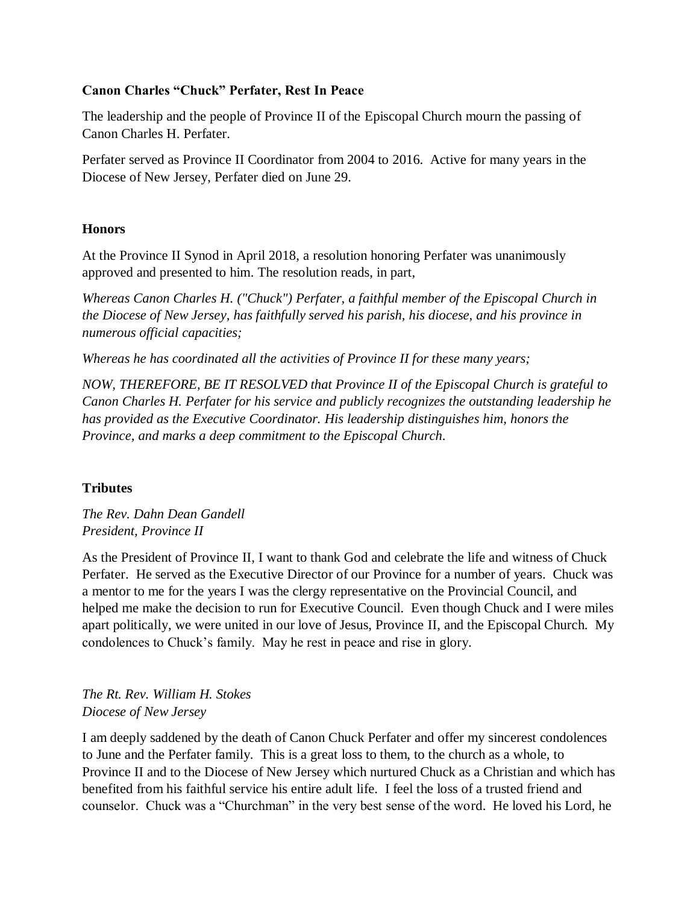#### **Canon Charles "Chuck" Perfater, Rest In Peace**

The leadership and the people of Province II of the Episcopal Church mourn the passing of Canon Charles H. Perfater.

Perfater served as Province II Coordinator from 2004 to 2016. Active for many years in the Diocese of New Jersey, Perfater died on June 29.

#### **Honors**

At the Province II Synod in April 2018, a resolution honoring Perfater was unanimously approved and presented to him. The resolution reads, in part,

*Whereas Canon Charles H. ("Chuck") Perfater, a faithful member of the Episcopal Church in the Diocese of New Jersey, has faithfully served his parish, his diocese, and his province in numerous official capacities;*

*Whereas he has coordinated all the activities of Province II for these many years;*

*NOW, THEREFORE, BE IT RESOLVED that Province II of the Episcopal Church is grateful to Canon Charles H. Perfater for his service and publicly recognizes the outstanding leadership he has provided as the Executive Coordinator. His leadership distinguishes him, honors the Province, and marks a deep commitment to the Episcopal Church.*

### **Tributes**

*The Rev. Dahn Dean Gandell President, Province II*

As the President of Province II, I want to thank God and celebrate the life and witness of Chuck Perfater. He served as the Executive Director of our Province for a number of years. Chuck was a mentor to me for the years I was the clergy representative on the Provincial Council, and helped me make the decision to run for Executive Council. Even though Chuck and I were miles apart politically, we were united in our love of Jesus, Province II, and the Episcopal Church. My condolences to Chuck's family. May he rest in peace and rise in glory.

*The Rt. Rev. William H. Stokes Diocese of New Jersey*

I am deeply saddened by the death of Canon Chuck Perfater and offer my sincerest condolences to June and the Perfater family. This is a great loss to them, to the church as a whole, to Province II and to the Diocese of New Jersey which nurtured Chuck as a Christian and which has benefited from his faithful service his entire adult life. I feel the loss of a trusted friend and counselor. Chuck was a "Churchman" in the very best sense of the word. He loved his Lord, he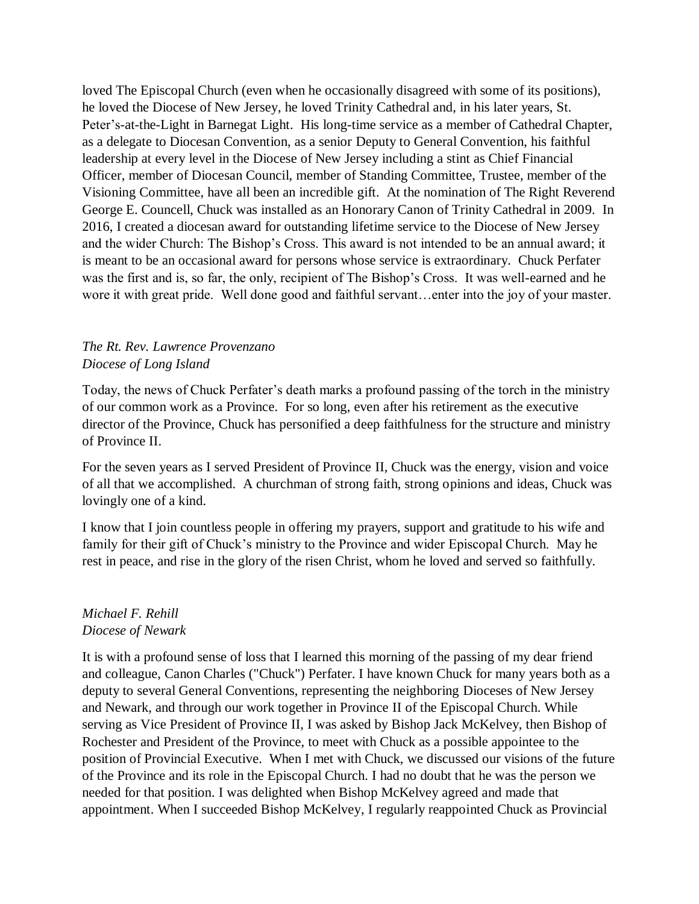loved The Episcopal Church (even when he occasionally disagreed with some of its positions), he loved the Diocese of New Jersey, he loved Trinity Cathedral and, in his later years, St. Peter's-at-the-Light in Barnegat Light. His long-time service as a member of Cathedral Chapter, as a delegate to Diocesan Convention, as a senior Deputy to General Convention, his faithful leadership at every level in the Diocese of New Jersey including a stint as Chief Financial Officer, member of Diocesan Council, member of Standing Committee, Trustee, member of the Visioning Committee, have all been an incredible gift. At the nomination of The Right Reverend George E. Councell, Chuck was installed as an Honorary Canon of Trinity Cathedral in 2009. In 2016, I created a diocesan award for outstanding lifetime service to the Diocese of New Jersey and the wider Church: The Bishop's Cross. This award is not intended to be an annual award; it is meant to be an occasional award for persons whose service is extraordinary. Chuck Perfater was the first and is, so far, the only, recipient of The Bishop's Cross. It was well-earned and he wore it with great pride. Well done good and faithful servant…enter into the joy of your master.

#### *The Rt. Rev. Lawrence Provenzano Diocese of Long Island*

Today, the news of Chuck Perfater's death marks a profound passing of the torch in the ministry of our common work as a Province. For so long, even after his retirement as the executive director of the Province, Chuck has personified a deep faithfulness for the structure and ministry of Province II.

For the seven years as I served President of Province II, Chuck was the energy, vision and voice of all that we accomplished. A churchman of strong faith, strong opinions and ideas, Chuck was lovingly one of a kind.

I know that I join countless people in offering my prayers, support and gratitude to his wife and family for their gift of Chuck's ministry to the Province and wider Episcopal Church. May he rest in peace, and rise in the glory of the risen Christ, whom he loved and served so faithfully.

#### *Michael F. Rehill Diocese of Newark*

It is with a profound sense of loss that I learned this morning of the passing of my dear friend and colleague, Canon Charles ("Chuck") Perfater. I have known Chuck for many years both as a deputy to several General Conventions, representing the neighboring Dioceses of New Jersey and Newark, and through our work together in Province II of the Episcopal Church. While serving as Vice President of Province II, I was asked by Bishop Jack McKelvey, then Bishop of Rochester and President of the Province, to meet with Chuck as a possible appointee to the position of Provincial Executive. When I met with Chuck, we discussed our visions of the future of the Province and its role in the Episcopal Church. I had no doubt that he was the person we needed for that position. I was delighted when Bishop McKelvey agreed and made that appointment. When I succeeded Bishop McKelvey, I regularly reappointed Chuck as Provincial